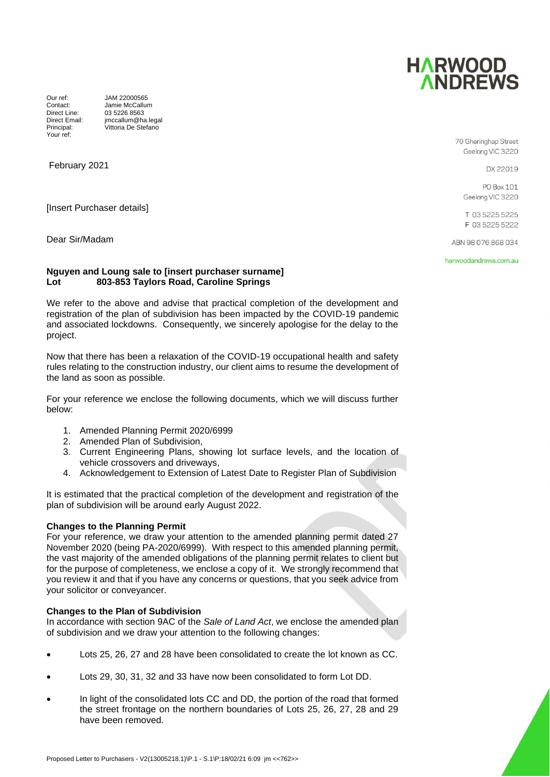

Your ref:

Our ref: JAM 22000565<br>Contact: Jamie McCallur Jamie McCallum Direct Line: 03 5226 8563<br>Direct Email: imccallum@ha Direct Email: jmccallum@ha.legal<br>Principal: Vittoria De Stefano .<br>Vittoria De Stefano

February 2021

[Insert Purchaser details]

Dear Sir/Madam

#### **Nguyen and Loung sale to [insert purchaser surname] Lot 803-853 Taylors Road, Caroline Springs**

We refer to the above and advise that practical completion of the development and registration of the plan of subdivision has been impacted by the COVID-19 pandemic and associated lockdowns. Consequently, we sincerely apologise for the delay to the project.

Now that there has been a relaxation of the COVID-19 occupational health and safety rules relating to the construction industry, our client aims to resume the development of the land as soon as possible.

For your reference we enclose the following documents, which we will discuss further below:

- 1. Amended Planning Permit 2020/6999
- 2. Amended Plan of Subdivision,
- 3. Current Engineering Plans, showing lot surface levels, and the location of vehicle crossovers and driveways,
- 4. Acknowledgement to Extension of Latest Date to Register Plan of Subdivision

It is estimated that the practical completion of the development and registration of the plan of subdivision will be around early August 2022.

# **Changes to the Planning Permit**

For your reference, we draw your attention to the amended planning permit dated 27 November 2020 (being PA-2020/6999). With respect to this amended planning permit, the vast majority of the amended obligations of the planning permit relates to client but for the purpose of completeness, we enclose a copy of it. We strongly recommend that you review it and that if you have any concerns or questions, that you seek advice from your solicitor or conveyancer.

# **Changes to the Plan of Subdivision**

In accordance with section 9AC of the *Sale of Land Act*, we enclose the amended plan of subdivision and we draw your attention to the following changes:

- Lots 25, 26, 27 and 28 have been consolidated to create the lot known as CC.
- Lots 29, 30, 31, 32 and 33 have now been consolidated to form Lot DD.
- In light of the consolidated lots CC and DD, the portion of the road that formed the street frontage on the northern boundaries of Lots 25, 26, 27, 28 and 29 have been removed.



DX 22019

PO Box 101 Geelong VIC 3220

T 03 5225 5225 F 03 5225 5222

ARN 98 076 868 034

harwoodandrews.com.au